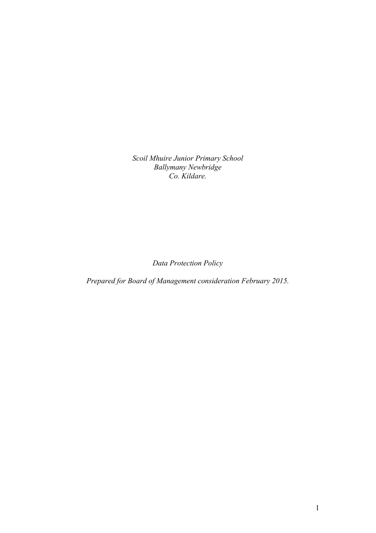*Scoil Mhuire Junior Primary School Ballymany Newbridge Co. Kildare.*

*Data Protection Policy*

*Prepared for Board of Management consideration February 2015.*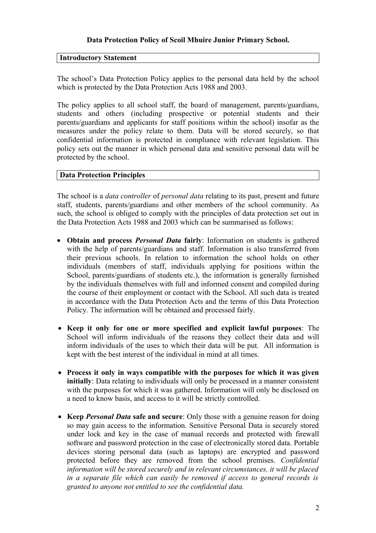## **Data Protection Policy of Scoil Mhuire Junior Primary School.**

#### **Introductory Statement**

The school's Data Protection Policy applies to the personal data held by the school which is protected by the Data Protection Acts 1988 and 2003.

The policy applies to all school staff, the board of management, parents/guardians, students and others (including prospective or potential students and their parents/guardians and applicants for staff positions within the school) insofar as the measures under the policy relate to them. Data will be stored securely, so that confidential information is protected in compliance with relevant legislation. This policy sets out the manner in which personal data and sensitive personal data will be protected by the school.

#### **Data Protection Principles**

The school is a *data controller* of *personal data* relating to its past, present and future staff, students, parents/guardians and other members of the school community. As such, the school is obliged to comply with the principles of data protection set out in the Data Protection Acts 1988 and 2003 which can be summarised as follows:

- **Obtain and process** *Personal Data* **fairly**: Information on students is gathered with the help of parents/guardians and staff. Information is also transferred from their previous schools. In relation to information the school holds on other individuals (members of staff, individuals applying for positions within the School, parents/guardians of students etc.), the information is generally furnished by the individuals themselves with full and informed consent and compiled during the course of their employment or contact with the School. All such data is treated in accordance with the Data Protection Acts and the terms of this Data Protection Policy. The information will be obtained and processed fairly.
- **Keep it only for one or more specified and explicit lawful purposes**: The School will inform individuals of the reasons they collect their data and will inform individuals of the uses to which their data will be put. All information is kept with the best interest of the individual in mind at all times.
- **Process it only in ways compatible with the purposes for which it was given initially**: Data relating to individuals will only be processed in a manner consistent with the purposes for which it was gathered. Information will only be disclosed on a need to know basis, and access to it will be strictly controlled.
- **Keep** *Personal Data* **safe and secure**: Only those with a genuine reason for doing so may gain access to the information. Sensitive Personal Data is securely stored under lock and key in the case of manual records and protected with firewall software and password protection in the case of electronically stored data. Portable devices storing personal data (such as laptops) are encrypted and password protected before they are removed from the school premises. *Confidential information will be stored securely and in relevant circumstances, it will be placed in a separate file which can easily be removed if access to general records is granted to anyone not entitled to see the confidential data.*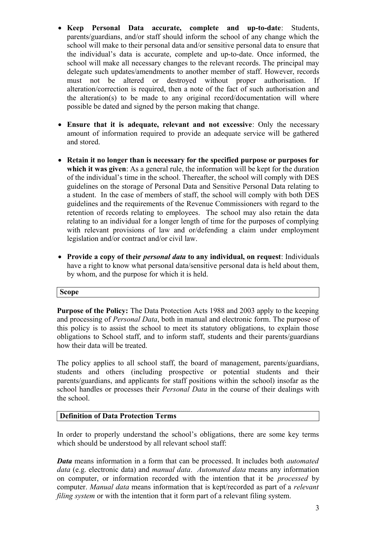- **Keep Personal Data accurate, complete and up-to-date**: Students, parents/guardians, and/or staff should inform the school of any change which the school will make to their personal data and/or sensitive personal data to ensure that the individual's data is accurate, complete and up-to-date. Once informed, the school will make all necessary changes to the relevant records. The principal may delegate such updates/amendments to another member of staff. However, records must not be altered or destroyed without proper authorisation. If alteration/correction is required, then a note of the fact of such authorisation and the alteration(s) to be made to any original record/documentation will where possible be dated and signed by the person making that change.
- **Ensure that it is adequate, relevant and not excessive**: Only the necessary amount of information required to provide an adequate service will be gathered and stored.
- **Retain it no longer than is necessary for the specified purpose or purposes for which it was given**: As a general rule, the information will be kept for the duration of the individual's time in the school. Thereafter, the school will comply with DES guidelines on the storage of Personal Data and Sensitive Personal Data relating to a student. In the case of members of staff, the school will comply with both DES guidelines and the requirements of the Revenue Commissioners with regard to the retention of records relating to employees. The school may also retain the data relating to an individual for a longer length of time for the purposes of complying with relevant provisions of law and or/defending a claim under employment legislation and/or contract and/or civil law.
- **Provide a copy of their** *personal data* **to any individual, on request**: Individuals have a right to know what personal data/sensitive personal data is held about them, by whom, and the purpose for which it is held.

#### **Scope**

**Purpose of the Policy:** The Data Protection Acts 1988 and 2003 apply to the keeping and processing of *Personal Data*, both in manual and electronic form. The purpose of this policy is to assist the school to meet its statutory obligations, to explain those obligations to School staff, and to inform staff, students and their parents/guardians how their data will be treated.

The policy applies to all school staff, the board of management, parents/guardians, students and others (including prospective or potential students and their parents/guardians, and applicants for staff positions within the school) insofar as the school handles or processes their *Personal Data* in the course of their dealings with the school.

## **Definition of Data Protection Terms**

In order to properly understand the school's obligations, there are some key terms which should be understood by all relevant school staff:

*Data* means information in a form that can be processed. It includes both *automated data* (e.g. electronic data) and *manual data*. *Automated data* means any information on computer, or information recorded with the intention that it be *processed* by computer. *Manual data* means information that is kept/recorded as part of a *relevant filing system* or with the intention that it form part of a relevant filing system.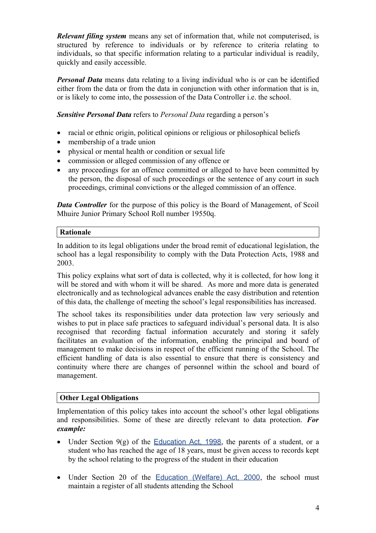*Relevant filing system* means any set of information that, while not computerised, is structured by reference to individuals or by reference to criteria relating to individuals, so that specific information relating to a particular individual is readily, quickly and easily accessible.

*Personal Data* means data relating to a living individual who is or can be identified either from the data or from the data in conjunction with other information that is in. or is likely to come into, the possession of the Data Controller i.e. the school.

*Sensitive Personal Data* refers to *Personal Data* regarding a person's

- racial or ethnic origin, political opinions or religious or philosophical beliefs
- membership of a trade union
- physical or mental health or condition or sexual life
- commission or alleged commission of any offence or
- any proceedings for an offence committed or alleged to have been committed by the person, the disposal of such proceedings or the sentence of any court in such proceedings, criminal convictions or the alleged commission of an offence.

*Data Controller* for the purpose of this policy is the Board of Management, of Scoil Mhuire Junior Primary School Roll number 19550q.

# **Rationale**

In addition to its legal obligations under the broad remit of educational legislation, the school has a legal responsibility to comply with the Data Protection Acts, 1988 and 2003.

This policy explains what sort of data is collected, why it is collected, for how long it will be stored and with whom it will be shared. As more and more data is generated electronically and as technological advances enable the easy distribution and retention of this data, the challenge of meeting the school's legal responsibilities has increased.

The school takes its responsibilities under data protection law very seriously and wishes to put in place safe practices to safeguard individual's personal data. It is also recognised that recording factual information accurately and storing it safely facilitates an evaluation of the information, enabling the principal and board of management to make decisions in respect of the efficient running of the School. The efficient handling of data is also essential to ensure that there is consistency and continuity where there are changes of personnel within the school and board of management.

## **Other Legal Obligations**

Implementation of this policy takes into account the school's other legal obligations and responsibilities. Some of these are directly relevant to data protection. *For example:*

- Under Section  $9(g)$  of the [Education Act, 1998](http://acts2.oireachtas.ie/zza51y1998.1.html), the parents of a student, or a student who has reached the age of 18 years, must be given access to records kept by the school relating to the progress of the student in their education
- Under Section 20 of the [Education \(Welfare\) Act, 2000](http://www.oireachtas.ie/documents/bills28/acts/2000/a2200.pdf), the school must maintain a register of all students attending the School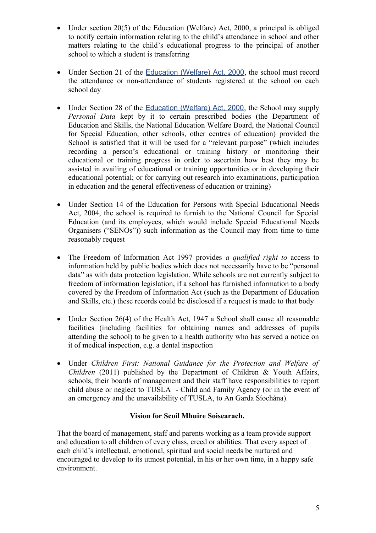- Under section 20(5) of the Education (Welfare) Act, 2000, a principal is obliged to notify certain information relating to the child's attendance in school and other matters relating to the child's educational progress to the principal of another school to which a student is transferring
- Under Section 21 of the [Education \(Welfare\) Act, 2000](http://www.oireachtas.ie/documents/bills28/acts/2000/a2200.pdf), the school must record the attendance or non-attendance of students registered at the school on each school day
- Under Section 28 of the [Education \(Welfare\) Act, 2000](http://www.oireachtas.ie/documents/bills28/acts/2000/a2200.pdf), the School may supply *Personal Data* kept by it to certain prescribed bodies (the Department of Education and Skills, the National Education Welfare Board, the National Council for Special Education, other schools, other centres of education) provided the School is satisfied that it will be used for a "relevant purpose" (which includes recording a person's educational or training history or monitoring their educational or training progress in order to ascertain how best they may be assisted in availing of educational or training opportunities or in developing their educational potential; or for carrying out research into examinations, participation in education and the general effectiveness of education or training)
- Under Section 14 of the Education for Persons with Special Educational Needs Act, 2004, the school is required to furnish to the National Council for Special Education (and its employees, which would include Special Educational Needs Organisers ("SENOs")) such information as the Council may from time to time reasonably request
- The Freedom of Information Act 1997 provides *a qualified right to* access to information held by public bodies which does not necessarily have to be "personal data" as with data protection legislation. While schools are not currently subject to freedom of information legislation, if a school has furnished information to a body covered by the Freedom of Information Act (such as the Department of Education and Skills, etc.) these records could be disclosed if a request is made to that body
- Under Section 26(4) of the Health Act, 1947 a School shall cause all reasonable facilities (including facilities for obtaining names and addresses of pupils attending the school) to be given to a health authority who has served a notice on it of medical inspection, e.g. a dental inspection
- Under *Children First: National Guidance for the Protection and Welfare of Children* (2011) published by the Department of Children & Youth Affairs, schools, their boards of management and their staff have responsibilities to report child abuse or neglect to TUSLA - Child and Family Agency (or in the event of an emergency and the unavailability of TUSLA, to An Garda Síochána).

## **Vision for Scoil Mhuire Soisearach.**

That the board of management, staff and parents working as a team provide support and education to all children of every class, creed or abilities. That every aspect of each child's intellectual, emotional, spiritual and social needs be nurtured and encouraged to develop to its utmost potential, in his or her own time, in a happy safe environment.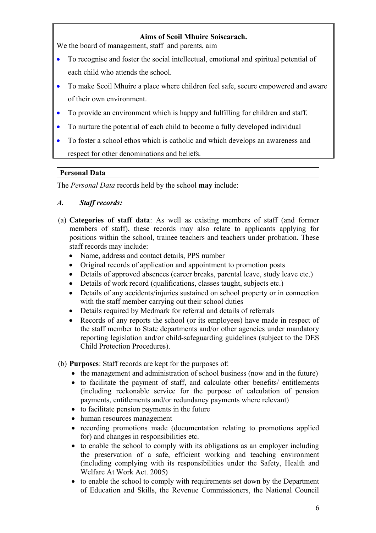## **Aims of Scoil Mhuire Soisearach.**

We the board of management, staff and parents, aim

- To recognise and foster the social intellectual, emotional and spiritual potential of each child who attends the school.
- To make Scoil Mhuire a place where children feel safe, secure empowered and aware of their own environment.
- To provide an environment which is happy and fulfilling for children and staff.
- To nurture the potential of each child to become a fully developed individual
- To foster a school ethos which is catholic and which develops an awareness and respect for other denominations and beliefs.

## **Personal Data**

The *Personal Data* records held by the school **may** include:

# *A. Staff records:*

- (a) **Categories of staff data**: As well as existing members of staff (and former members of staff), these records may also relate to applicants applying for positions within the school, trainee teachers and teachers under probation. These staff records may include:
	- Name, address and contact details, PPS number
	- Original records of application and appointment to promotion posts
	- Details of approved absences (career breaks, parental leave, study leave etc.)
	- Details of work record (qualifications, classes taught, subjects etc.)
	- Details of any accidents/injuries sustained on school property or in connection with the staff member carrying out their school duties
	- Details required by Medmark for referral and details of referrals
	- Records of any reports the school (or its employees) have made in respect of the staff member to State departments and/or other agencies under mandatory reporting legislation and/or child-safeguarding guidelines (subject to the DES Child Protection Procedures).

(b) **Purposes**: Staff records are kept for the purposes of:

- the management and administration of school business (now and in the future)
- to facilitate the payment of staff, and calculate other benefits/ entitlements (including reckonable service for the purpose of calculation of pension payments, entitlements and/or redundancy payments where relevant)
- to facilitate pension payments in the future
- human resources management
- recording promotions made (documentation relating to promotions applied for) and changes in responsibilities etc.
- to enable the school to comply with its obligations as an employer including the preservation of a safe, efficient working and teaching environment (including complying with its responsibilities under the Safety, Health and Welfare At Work Act. 2005)
- to enable the school to comply with requirements set down by the Department of Education and Skills, the Revenue Commissioners, the National Council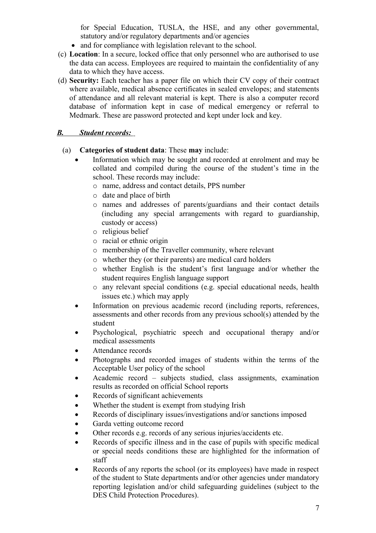for Special Education, TUSLA, the HSE, and any other governmental, statutory and/or regulatory departments and/or agencies

- and for compliance with legislation relevant to the school.
- (c) **Location**: In a secure, locked office that only personnel who are authorised to use the data can access. Employees are required to maintain the confidentiality of any data to which they have access.
- (d) **Security:** Each teacher has a paper file on which their CV copy of their contract where available, medical absence certificates in sealed envelopes; and statements of attendance and all relevant material is kept. There is also a computer record database of information kept in case of medical emergency or referral to Medmark. These are password protected and kept under lock and key.

# *B. Student records:*

- (a) **Categories of student data**: These **may** include:
	- Information which may be sought and recorded at enrolment and may be collated and compiled during the course of the student's time in the school. These records may include:
		- o name, address and contact details, PPS number
		- o date and place of birth
		- o names and addresses of parents/guardians and their contact details (including any special arrangements with regard to guardianship, custody or access)
		- o religious belief
		- o racial or ethnic origin
		- o membership of the Traveller community, where relevant
		- o whether they (or their parents) are medical card holders
		- o whether English is the student's first language and/or whether the student requires English language support
		- o any relevant special conditions (e.g. special educational needs, health issues etc.) which may apply
	- Information on previous academic record (including reports, references, assessments and other records from any previous school(s) attended by the student
	- Psychological, psychiatric speech and occupational therapy and/or medical assessments
	- Attendance records
	- Photographs and recorded images of students within the terms of the Acceptable User policy of the school
	- Academic record subjects studied, class assignments, examination results as recorded on official School reports
	- Records of significant achievements
	- Whether the student is exempt from studying Irish
	- Records of disciplinary issues/investigations and/or sanctions imposed
	- Garda vetting outcome record
	- Other records e.g. records of any serious injuries/accidents etc.
	- Records of specific illness and in the case of pupils with specific medical or special needs conditions these are highlighted for the information of staff
	- Records of any reports the school (or its employees) have made in respect of the student to State departments and/or other agencies under mandatory reporting legislation and/or child safeguarding guidelines (subject to the DES Child Protection Procedures).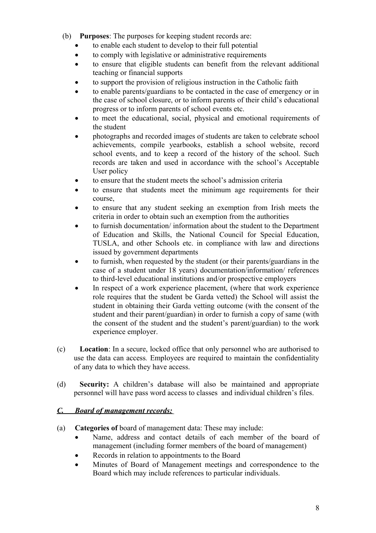- (b) **Purposes**: The purposes for keeping student records are:
	- to enable each student to develop to their full potential
	- to comply with legislative or administrative requirements
	- to ensure that eligible students can benefit from the relevant additional teaching or financial supports
	- to support the provision of religious instruction in the Catholic faith
	- to enable parents/guardians to be contacted in the case of emergency or in the case of school closure, or to inform parents of their child's educational progress or to inform parents of school events etc.
	- to meet the educational, social, physical and emotional requirements of the student
	- photographs and recorded images of students are taken to celebrate school achievements, compile yearbooks, establish a school website, record school events, and to keep a record of the history of the school. Such records are taken and used in accordance with the school's Acceptable User policy
	- to ensure that the student meets the school's admission criteria
	- to ensure that students meet the minimum age requirements for their course,
	- to ensure that any student seeking an exemption from Irish meets the criteria in order to obtain such an exemption from the authorities
	- to furnish documentation/ information about the student to the Department of Education and Skills, the National Council for Special Education, TUSLA, and other Schools etc. in compliance with law and directions issued by government departments
	- to furnish, when requested by the student (or their parents/guardians in the case of a student under 18 years) documentation/information/ references to third-level educational institutions and/or prospective employers
	- In respect of a work experience placement, (where that work experience role requires that the student be Garda vetted) the School will assist the student in obtaining their Garda vetting outcome (with the consent of the student and their parent/guardian) in order to furnish a copy of same (with the consent of the student and the student's parent/guardian) to the work experience employer.
- (c) **Location**: In a secure, locked office that only personnel who are authorised to use the data can access*.* Employees are required to maintain the confidentiality of any data to which they have access.
- (d) **Security:** A children's database will also be maintained and appropriate personnel will have pass word access to classes and individual children's files.

## *C. Board of management records:*

- (a) **Categories of** board of management data: These may include:
	- Name, address and contact details of each member of the board of management (including former members of the board of management)
	- Records in relation to appointments to the Board
	- Minutes of Board of Management meetings and correspondence to the Board which may include references to particular individuals.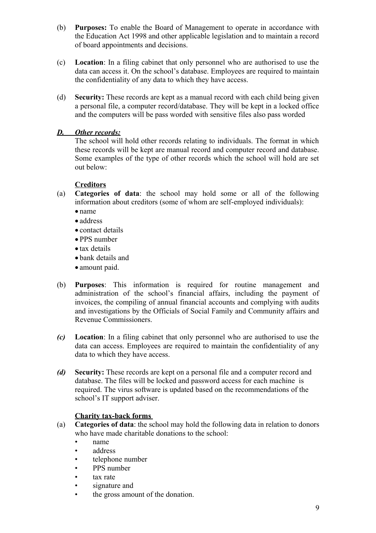- (b) **Purposes:** To enable the Board of Management to operate in accordance with the Education Act 1998 and other applicable legislation and to maintain a record of board appointments and decisions.
- (c) **Location**: In a filing cabinet that only personnel who are authorised to use the data can access it. On the school's database. Employees are required to maintain the confidentiality of any data to which they have access.
- (d) **Security:** These records are kept as a manual record with each child being given a personal file, a computer record/database. They will be kept in a locked office and the computers will be pass worded with sensitive files also pass worded

## *D. Other records:*

The school will hold other records relating to individuals. The format in which these records will be kept are manual record and computer record and database. Some examples of the type of other records which the school will hold are set out below:

#### **Creditors**

- (a) **Categories of data**: the school may hold some or all of the following information about creditors (some of whom are self-employed individuals):
	- name
	- address
	- contact details
	- PPS number
	- tax details
	- bank details and
	- amount paid.
- (b) **Purposes**: This information is required for routine management and administration of the school's financial affairs, including the payment of invoices, the compiling of annual financial accounts and complying with audits and investigations by the Officials of Social Family and Community affairs and Revenue Commissioners.
- *(c)* **Location**: In a filing cabinet that only personnel who are authorised to use the data can access. Employees are required to maintain the confidentiality of any data to which they have access.
- *(d)* **Security:** These records are kept on a personal file and a computer record and database. The files will be locked and password access for each machine is required. The virus software is updated based on the recommendations of the school's IT support adviser.

## **Charity tax-back forms**

- (a) **Categories of data**: the school may hold the following data in relation to donors who have made charitable donations to the school:
	- name
	- address
	- telephone number
	- PPS number
	- tax rate
	- signature and
	- the gross amount of the donation.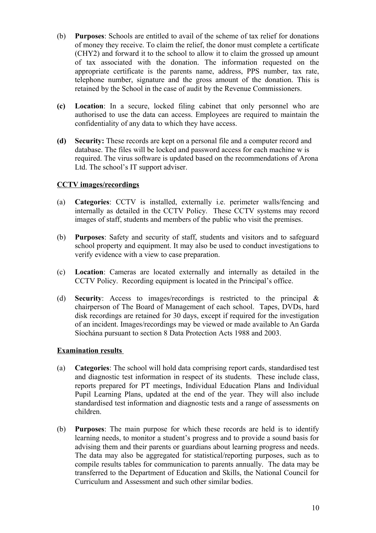- (b) **Purposes**: Schools are entitled to avail of the scheme of tax relief for donations of money they receive. To claim the relief, the donor must complete a certificate (CHY2) and forward it to the school to allow it to claim the grossed up amount of tax associated with the donation. The information requested on the appropriate certificate is the parents name, address, PPS number, tax rate, telephone number, signature and the gross amount of the donation. This is retained by the School in the case of audit by the Revenue Commissioners.
- **(c) Location**: In a secure, locked filing cabinet that only personnel who are authorised to use the data can access. Employees are required to maintain the confidentiality of any data to which they have access.
- **(d) Security:** These records are kept on a personal file and a computer record and database. The files will be locked and password access for each machine w is required. The virus software is updated based on the recommendations of Arona Ltd. The school's IT support adviser.

## **CCTV images/recordings**

- (a) **Categories**: CCTV is installed, externally i.e. perimeter walls/fencing and internally as detailed in the CCTV Policy. These CCTV systems may record images of staff, students and members of the public who visit the premises.
- (b) **Purposes**: Safety and security of staff, students and visitors and to safeguard school property and equipment. It may also be used to conduct investigations to verify evidence with a view to case preparation.
- (c) **Location**: Cameras are located externally and internally as detailed in the CCTV Policy. Recording equipment is located in the Principal's office.
- (d) **Security**: Access to images/recordings is restricted to the principal & chairperson of The Board of Management of each school. Tapes, DVDs, hard disk recordings are retained for 30 days, except if required for the investigation of an incident. Images/recordings may be viewed or made available to An Garda Síochána pursuant to section 8 Data Protection Acts 1988 and 2003.

#### **Examination results**

- (a) **Categories**: The school will hold data comprising report cards, standardised test and diagnostic test information in respect of its students. These include class, reports prepared for PT meetings, Individual Education Plans and Individual Pupil Learning Plans, updated at the end of the year. They will also include standardised test information and diagnostic tests and a range of assessments on children. **Executive Service Service Service Service Service Service Service Service Service Service Service Service Service Service Service Service Service Service Service Service Service Service Service Service Service S**
- (b) **Purposes**: The main purpose for which these records are held is to identify learning needs, to monitor a student's progress and to provide a sound basis for advising them and their parents or guardians about learning progress and needs. The data may also be aggregated for statistical/reporting purposes, such as to compile results tables for communication to parents annually. The data may be transferred to the Department of Education and Skills, the National Council for Curriculum and Assessment and such other similar bodies.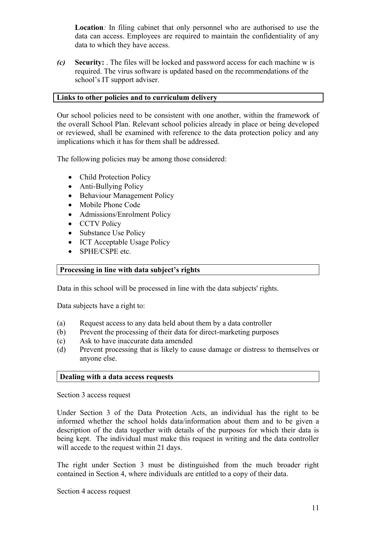**Location***:* In filing cabinet that only personnel who are authorised to use the data can access. Employees are required to maintain the confidentiality of any data to which they have access.

*(c)* **Security:** . The files will be locked and password access for each machine w is required. The virus software is updated based on the recommendations of the school's IT support adviser.

#### **Links to other policies and to curriculum delivery**

Our school policies need to be consistent with one another, within the framework of the overall School Plan. Relevant school policies already in place or being developed or reviewed, shall be examined with reference to the data protection policy and any implications which it has for them shall be addressed.

The following policies may be among those considered:

- Child Protection Policy
- Anti-Bullying Policy
- Behaviour Management Policy
- Mobile Phone Code
- Admissions/Enrolment Policy
- CCTV Policy
- Substance Use Policy
- ICT Acceptable Usage Policy
- SPHE/CSPE etc.

### **Processing in line with data subject's rights**

Data in this school will be processed in line with the data subjects' rights.

Data subjects have a right to:

- (a) Request access to any data held about them by a data controller
- (b) Prevent the processing of their data for direct-marketing purposes
- (c) Ask to have inaccurate data amended
- (d) Prevent processing that is likely to cause damage or distress to themselves or anyone else.

#### **Dealing with a data access requests**

Section 3 access request

Under Section 3 of the Data Protection Acts, an individual has the right to be informed whether the school holds data/information about them and to be given a description of the data together with details of the purposes for which their data is being kept. The individual must make this request in writing and the data controller will accede to the request within 21 days.

The right under Section 3 must be distinguished from the much broader right contained in Section 4, where individuals are entitled to a copy of their data.

Section 4 access request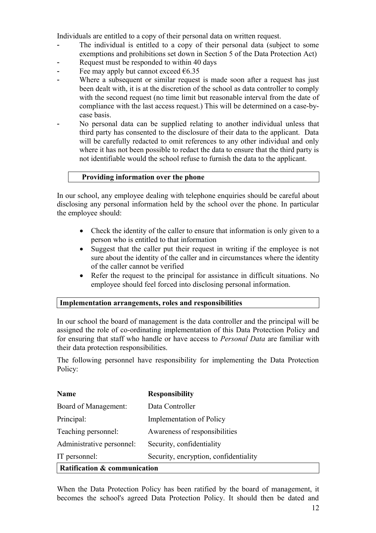Individuals are entitled to a copy of their personal data on written request.

- The individual is entitled to a copy of their personal data (subject to some exemptions and prohibitions set down in Section 5 of the Data Protection Act)
- Request must be responded to within 40 days
- Fee may apply but cannot exceed  $\epsilon$ 6.35
- Where a subsequent or similar request is made soon after a request has just been dealt with, it is at the discretion of the school as data controller to comply with the second request (no time limit but reasonable interval from the date of compliance with the last access request.) This will be determined on a case-bycase basis.
- No personal data can be supplied relating to another individual unless that third party has consented to the disclosure of their data to the applicant. Data will be carefully redacted to omit references to any other individual and only where it has not been possible to redact the data to ensure that the third party is not identifiable would the school refuse to furnish the data to the applicant.

#### **Providing information over the phone**

In our school, any employee dealing with telephone enquiries should be careful about disclosing any personal information held by the school over the phone. In particular the employee should:

- Check the identity of the caller to ensure that information is only given to a person who is entitled to that information
- Suggest that the caller put their request in writing if the employee is not sure about the identity of the caller and in circumstances where the identity of the caller cannot be verified
- Refer the request to the principal for assistance in difficult situations. No employee should feel forced into disclosing personal information.

#### **Implementation arrangements, roles and responsibilities**

In our school the board of management is the data controller and the principal will be assigned the role of co-ordinating implementation of this Data Protection Policy and for ensuring that staff who handle or have access to *Personal Data* are familiar with their data protection responsibilities.

The following personnel have responsibility for implementing the Data Protection Policy:

| <b>Name</b>                  | <b>Responsibility</b>                 |
|------------------------------|---------------------------------------|
| Board of Management:         | Data Controller                       |
| Principal:                   | <b>Implementation of Policy</b>       |
| Teaching personnel:          | Awareness of responsibilities         |
| Administrative personnel:    | Security, confidentiality             |
| IT personnel:                | Security, encryption, confidentiality |
| Ratification & communication |                                       |

When the Data Protection Policy has been ratified by the board of management, it becomes the school's agreed Data Protection Policy. It should then be dated and